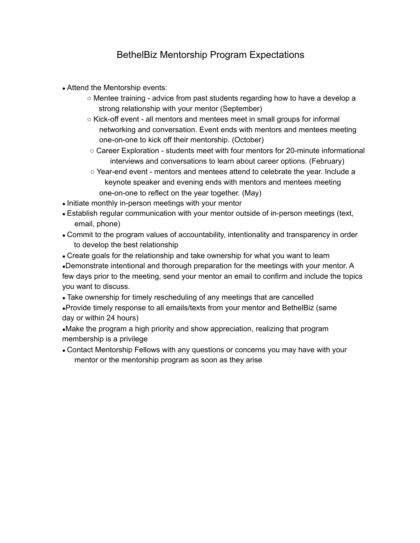## BethelBiz Mentorship Program Expectations

- Attend the Mentorship events:
	- Mentee training advice from past students regarding how to have a develop a strong relationship with your mentor (September)
	- Kick-off event all mentors and mentees meet in small groups for informal networking and conversation. Event ends with mentors and mentees meeting one-on-one to kick off their mentorship. (October)
	- Career Exploration students meet with four mentors for 20-minute informational interviews and conversations to learn about career options. (February)
	- Year-end event mentors and mentees attend to celebrate the year. Include a keynote speaker and evening ends with mentors and mentees meeting one-on-one to reflect on the year together. (May)
- Initiate monthly in-person meetings with your mentor
- Establish regular communication with your mentor outside of in-person meetings (text, email, phone)
- Commit to the program values of accountability, intentionality and transparency in order to develop the best relationship
- Create goals for the relationship and take ownership for what you want to learn

●Demonstrate intentional and thorough preparation for the meetings with your mentor. A few days prior to the meeting, send your mentor an email to confirm and include the topics you want to discuss.

• Take ownership for timely rescheduling of any meetings that are cancelled

●Provide timely response to all emails/texts from your mentor and BethelBiz (same day or within 24 hours)

•Make the program a high priority and show appreciation, realizing that program membership is a privilege

• Contact Mentorship Fellows with any questions or concerns you may have with your mentor or the mentorship program as soon as they arise